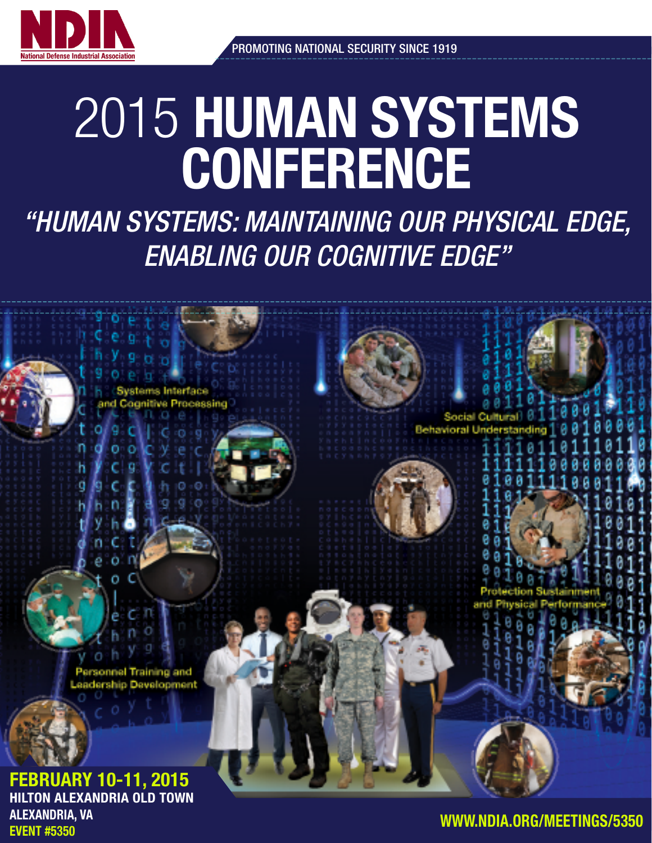

# 2015 HUMAN SYSTEMS **CONFERENCE**

*"HUMAN SYSTEMS: MAINTAINING OUR PHYSICAL EDGE, ENABLING OUR COGNITIVE EDGE"*

**Behavioral Und** 

Personnel Training and dership Development

ocessing

FEBRUARY 10-11, 2015 HILTON ALEXANDRIA OLD TOWN ALEXANDRIA, VA EVENT #5350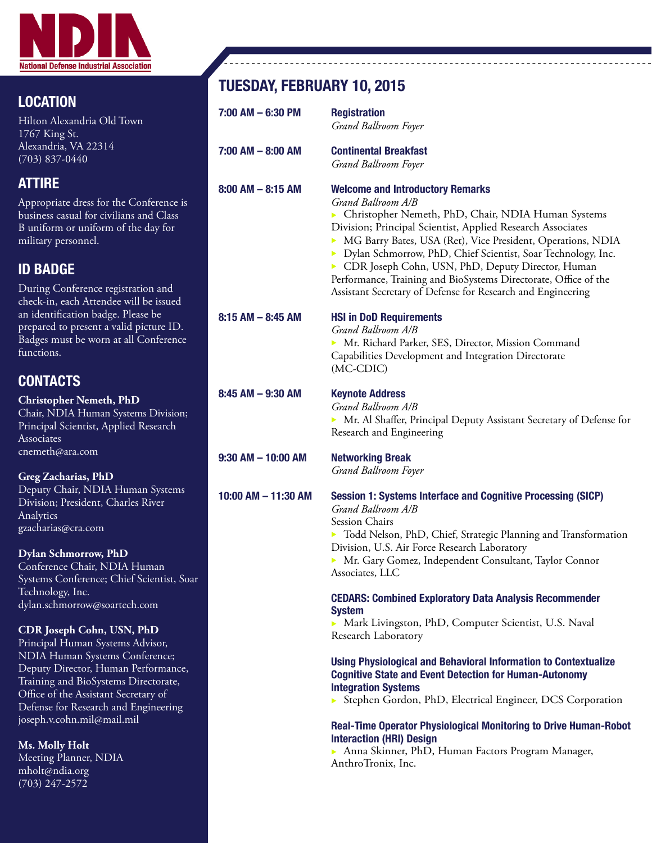

# LOCATION

Hilton Alexandria Old Town 1767 King St. Alexandria, VA 22314 (703) 837-0440

# ATTIRE

Appropriate dress for the Conference is business casual for civilians and Class B uniform or uniform of the day for military personnel.

# ID BADGE

During Conference registration and check-in, each Attendee will be issued an identification badge. Please be prepared to present a valid picture ID. Badges must be worn at all Conference functions.

# **CONTACTS**

**Christopher Nemeth, PhD** Chair, NDIA Human Systems Division; Principal Scientist, Applied Research **Associates** cnemeth@ara.com

## **Greg Zacharias, PhD**

Deputy Chair, NDIA Human Systems Division; President, Charles River Analytics gzacharias@cra.com

### **Dylan Schmorrow, PhD**

Conference Chair, NDIA Human Systems Conference; Chief Scientist, Soar Technology, Inc. dylan.schmorrow@soartech.com

### **CDR Joseph Cohn, USN, PhD**

Principal Human Systems Advisor, NDIA Human Systems Conference; Deputy Director, Human Performance, Training and BioSystems Directorate, Office of the Assistant Secretary of Defense for Research and Engineering joseph.v.cohn.mil@mail.mil

#### **Ms. Molly Holt**

Meeting Planner, NDIA mholt@ndia.org (703) 247-2572

# TUESDAY, FEBRUARY 10, 2015

| $7:00$ AM $-6:30$ PM   | <b>Registration</b><br>Grand Ballroom Foyer                                                                                                                                                                                                                                                                                                                                                                                                                                                                   |  |  |  |
|------------------------|---------------------------------------------------------------------------------------------------------------------------------------------------------------------------------------------------------------------------------------------------------------------------------------------------------------------------------------------------------------------------------------------------------------------------------------------------------------------------------------------------------------|--|--|--|
| $7:00$ AM $-$ 8:00 AM  | <b>Continental Breakfast</b><br>Grand Ballroom Foyer                                                                                                                                                                                                                                                                                                                                                                                                                                                          |  |  |  |
| $8:00$ AM $- 8:15$ AM  | <b>Welcome and Introductory Remarks</b><br>Grand Ballroom A/B<br>> Christopher Nemeth, PhD, Chair, NDIA Human Systems<br>Division; Principal Scientist, Applied Research Associates<br>• MG Barry Bates, USA (Ret), Vice President, Operations, NDIA<br>> Dylan Schmorrow, PhD, Chief Scientist, Soar Technology, Inc.<br>CDR Joseph Cohn, USN, PhD, Deputy Director, Human<br>Performance, Training and BioSystems Directorate, Office of the<br>Assistant Secretary of Defense for Research and Engineering |  |  |  |
| $8:15$ AM $-$ 8:45 AM  | <b>HSI in DoD Requirements</b><br>Grand Ballroom A/B<br>> Mr. Richard Parker, SES, Director, Mission Command<br>Capabilities Development and Integration Directorate<br>(MC-CDIC)                                                                                                                                                                                                                                                                                                                             |  |  |  |
| $8:45$ AM $-9:30$ AM   | <b>Keynote Address</b><br>Grand Ballroom A/B<br>> Mr. Al Shaffer, Principal Deputy Assistant Secretary of Defense for<br>Research and Engineering                                                                                                                                                                                                                                                                                                                                                             |  |  |  |
| $9:30$ AM $-$ 10:00 AM | <b>Networking Break</b><br>Grand Ballroom Foyer                                                                                                                                                                                                                                                                                                                                                                                                                                                               |  |  |  |
| 10:00 AM - 11:30 AM    | <b>Session 1: Systems Interface and Cognitive Processing (SICP)</b><br>Grand Ballroom A/B<br>Session Chairs<br>> Todd Nelson, PhD, Chief, Strategic Planning and Transformation<br>Division, U.S. Air Force Research Laboratory<br>> Mr. Gary Gomez, Independent Consultant, Taylor Connor<br>Associates, LLC                                                                                                                                                                                                 |  |  |  |
|                        | <b>CEDARS: Combined Exploratory Data Analysis Recommender</b><br><b>System</b><br>Mark Livingston, PhD, Computer Scientist, U.S. Naval<br>Research Laboratory                                                                                                                                                                                                                                                                                                                                                 |  |  |  |
|                        | <b>Using Physiological and Behavioral Information to Contextualize</b><br><b>Cognitive State and Event Detection for Human-Autonomy</b><br><b>Integration Systems</b><br>Stephen Gordon, PhD, Electrical Engineer, DCS Corporation                                                                                                                                                                                                                                                                            |  |  |  |
|                        | <b>Real-Time Operator Physiological Monitoring to Drive Human-Robot</b><br><b>Interaction (HRI) Design</b><br>Anna Skinner, PhD, Human Factors Program Manager,<br>AnthroTronix, Inc.                                                                                                                                                                                                                                                                                                                         |  |  |  |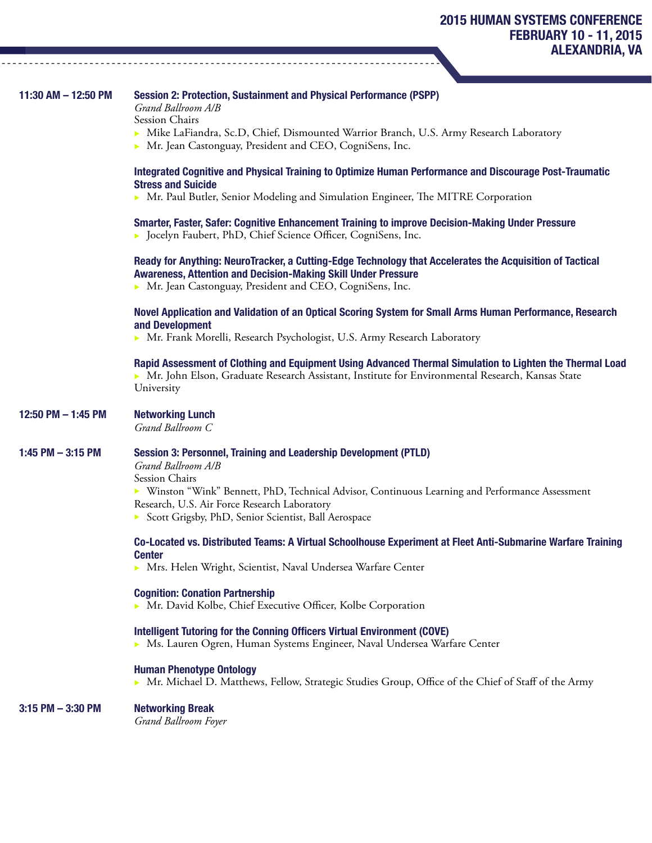| 11:30 AM - 12:50 PM  | Session 2: Protection, Sustainment and Physical Performance (PSPP)<br>Grand Ballroom A/B<br>Session Chairs                                                                                                                                    |  |  |  |
|----------------------|-----------------------------------------------------------------------------------------------------------------------------------------------------------------------------------------------------------------------------------------------|--|--|--|
|                      | Mike LaFiandra, Sc.D, Chief, Dismounted Warrior Branch, U.S. Army Research Laboratory<br>• Mr. Jean Castonguay, President and CEO, CogniSens, Inc.                                                                                            |  |  |  |
|                      | Integrated Cognitive and Physical Training to Optimize Human Performance and Discourage Post-Traumatic<br><b>Stress and Suicide</b>                                                                                                           |  |  |  |
|                      | ► Mr. Paul Butler, Senior Modeling and Simulation Engineer, The MITRE Corporation                                                                                                                                                             |  |  |  |
|                      | Smarter, Faster, Safer: Cognitive Enhancement Training to improve Decision-Making Under Pressure<br>• Jocelyn Faubert, PhD, Chief Science Officer, CogniSens, Inc.                                                                            |  |  |  |
|                      | Ready for Anything: NeuroTracker, a Cutting-Edge Technology that Accelerates the Acquisition of Tactical<br><b>Awareness, Attention and Decision-Making Skill Under Pressure</b><br>> Mr. Jean Castonguay, President and CEO, CogniSens, Inc. |  |  |  |
|                      | Novel Application and Validation of an Optical Scoring System for Small Arms Human Performance, Research<br>and Development<br>• Mr. Frank Morelli, Research Psychologist, U.S. Army Research Laboratory                                      |  |  |  |
|                      | Rapid Assessment of Clothing and Equipment Using Advanced Thermal Simulation to Lighten the Thermal Load<br>Mr. John Elson, Graduate Research Assistant, Institute for Environmental Research, Kansas State<br>University                     |  |  |  |
| 12:50 PM - 1:45 PM   | <b>Networking Lunch</b><br>Grand Ballroom C                                                                                                                                                                                                   |  |  |  |
| 1:45 PM $-$ 3:15 PM  | <b>Session 3: Personnel, Training and Leadership Development (PTLD)</b><br>Grand Ballroom A/B                                                                                                                                                 |  |  |  |
|                      | Session Chairs<br>▶ Winston "Wink" Bennett, PhD, Technical Advisor, Continuous Learning and Performance Assessment                                                                                                                            |  |  |  |
|                      | Research, U.S. Air Force Research Laboratory                                                                                                                                                                                                  |  |  |  |
|                      | Scott Grigsby, PhD, Senior Scientist, Ball Aerospace                                                                                                                                                                                          |  |  |  |
|                      | Co-Located vs. Distributed Teams: A Virtual Schoolhouse Experiment at Fleet Anti-Submarine Warfare Training                                                                                                                                   |  |  |  |
|                      | <b>Center</b><br>> Mrs. Helen Wright, Scientist, Naval Undersea Warfare Center                                                                                                                                                                |  |  |  |
|                      | <b>Cognition: Conation Partnership</b><br>Mr. David Kolbe, Chief Executive Officer, Kolbe Corporation                                                                                                                                         |  |  |  |
|                      | Intelligent Tutoring for the Conning Officers Virtual Environment (COVE)<br>Ms. Lauren Ogren, Human Systems Engineer, Naval Undersea Warfare Center                                                                                           |  |  |  |
|                      | <b>Human Phenotype Ontology</b><br>Mr. Michael D. Matthews, Fellow, Strategic Studies Group, Office of the Chief of Staff of the Army                                                                                                         |  |  |  |
| $3:15$ PM $-3:30$ PM | <b>Networking Break</b>                                                                                                                                                                                                                       |  |  |  |

 $- - -$ 

*Grand Ballroom Foyer*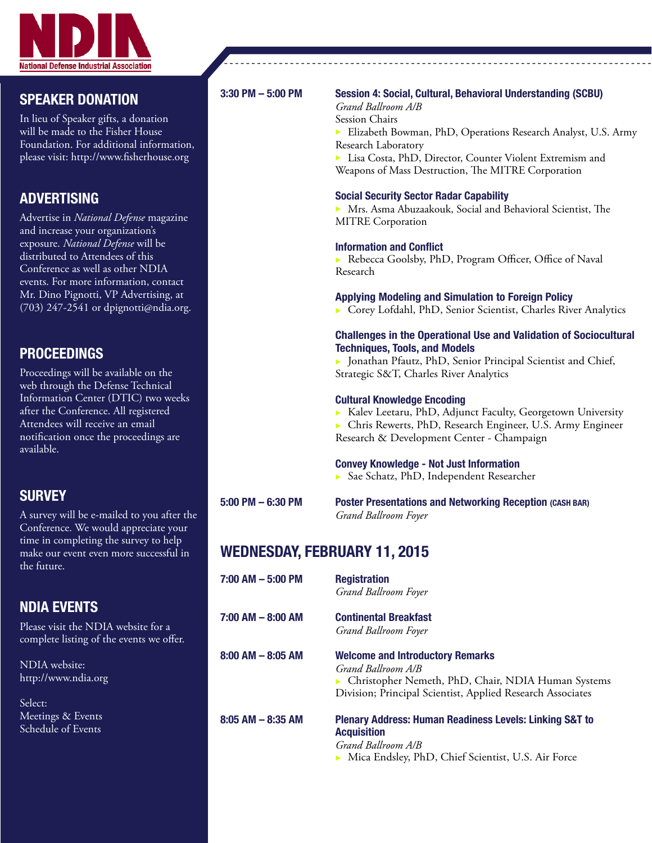

## SPEAKER DONATION

In lieu of Speaker gifts, a donation will be made to the Fisher House Foundation. For additional information, please visit: http://www.fisherhouse.org

# ADVERTISING

Advertise in *National Defense* magazine and increase your organization's exposure. *National Defense* will be distributed to Attendees of this Conference as well as other NDIA events. For more information, contact Mr. Dino Pignotti, VP Advertising, at (703) 247-2541 or dpignotti@ndia.org.

# PROCEEDINGS

Proceedings will be available on the web through the Defense Technical Information Center (DTIC) two weeks after the Conference. All registered Attendees will receive an email notification once the proceedings are available.

# **SURVEY**

A survey will be e-mailed to you after the Conference. We would appreciate your time in completing the survey to help make our event even more successful in the future.

# NDIA EVENTS

Please visit the NDIA website for a complete listing of the events we offer.

NDIA website: http://www.ndia.org

Select: Meetings & Events Schedule of Events

### 3:30 PM – 5:00 PM Session 4: Social, Cultural, Behavioral Understanding (SCBU)

 *Grand Ballroom A/B* Session Chairs

Elizabeth Bowman, PhD, Operations Research Analyst, U.S. Army Research Laboratory

 $\triangleright$  Lisa Costa, PhD, Director, Counter Violent Extremism and Weapons of Mass Destruction, The MITRE Corporation

#### Social Security Sector Radar Capability

 $\triangleright$  Mrs. Asma Abuzaakouk, Social and Behavioral Scientist, The MITRE Corporation

#### Information and Conflict

Rebecca Goolsby, PhD, Program Officer, Office of Naval Research

#### Applying Modeling and Simulation to Foreign Policy

▶ Corey Lofdahl, PhD, Senior Scientist, Charles River Analytics

#### Challenges in the Operational Use and Validation of Sociocultural Techniques, Tools, and Models

▶ Jonathan Pfautz, PhD, Senior Principal Scientist and Chief, Strategic S&T, Charles River Analytics

#### Cultural Knowledge Encoding

<sup>u</sup> Kalev Leetaru, PhD, Adjunct Faculty, Georgetown University

**Exercise Engineer, PhD, Research Engineer, U.S. Army Engineer** Research & Development Center - Champaign

#### Convey Knowledge - Not Just Information

▶ Sae Schatz, PhD, Independent Researcher

# WEDNESDAY, FEBRUARY 11, 2015

7:00 AM – 5:00 PM Registration *Grand Ballroom Foyer*  7:00 AM – 8:00 AM Continental Breakfast 8:00 AM – 8:05 AM Welcome and Introductory Remarks *Grand Ballroom A/B*

5:00 PM – 6:30 PM Poster Presentations and Networking Reception (CASH BAR) *Grand Ballroom Foyer*

*Grand Ballroom Foyer* 

**• Christopher Nemeth, PhD, Chair, NDIA Human Systems** Division; Principal Scientist, Applied Research Associates

#### 8:05 AM – 8:35 AM Plenary Address: Human Readiness Levels: Linking S&T to **Acquisition**

 *Grand Ballroom A/B* ▶ Mica Endsley, PhD, Chief Scientist, U.S. Air Force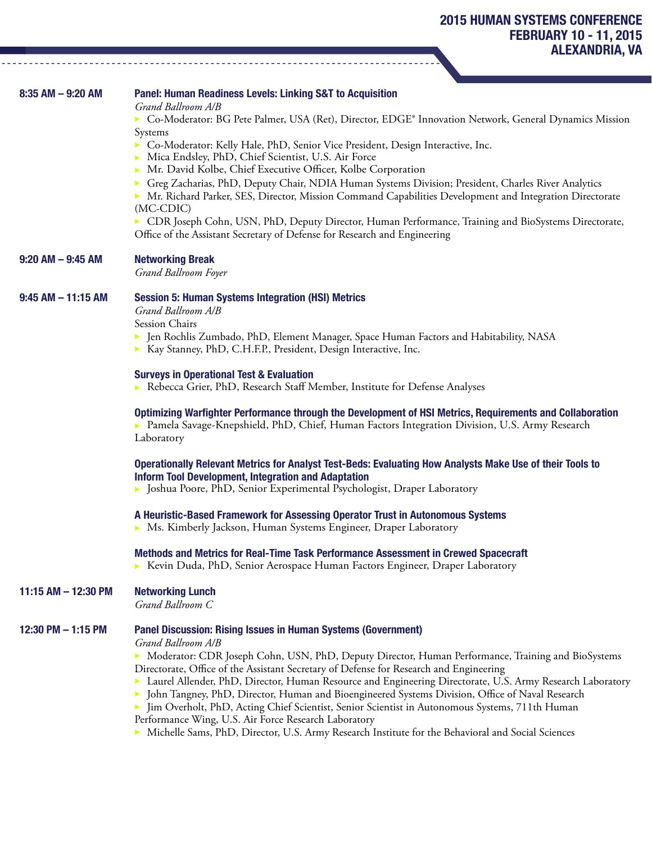| $8:35$ AM $-9:20$ AM   | <b>Panel: Human Readiness Levels: Linking S&amp;T to Acquisition</b><br>Grand Ballroom A/B                                                                                                                                                                                                                                                                                                                                                                                                                                                                                                                                                                          |  |  |  |
|------------------------|---------------------------------------------------------------------------------------------------------------------------------------------------------------------------------------------------------------------------------------------------------------------------------------------------------------------------------------------------------------------------------------------------------------------------------------------------------------------------------------------------------------------------------------------------------------------------------------------------------------------------------------------------------------------|--|--|--|
|                        | ► Co-Moderator: BG Pete Palmer, USA (Ret), Director, EDGE® Innovation Network, General Dynamics Mission                                                                                                                                                                                                                                                                                                                                                                                                                                                                                                                                                             |  |  |  |
|                        | Systems<br>Co-Moderator: Kelly Hale, PhD, Senior Vice President, Design Interactive, Inc.<br>Mica Endsley, PhD, Chief Scientist, U.S. Air Force<br>Mr. David Kolbe, Chief Executive Officer, Kolbe Corporation<br>Greg Zacharias, PhD, Deputy Chair, NDIA Human Systems Division; President, Charles River Analytics<br>▶ Mr. Richard Parker, SES, Director, Mission Command Capabilities Development and Integration Directorate<br>$(MC\text{-}CDIC)$                                                                                                                                                                                                             |  |  |  |
|                        | > CDR Joseph Cohn, USN, PhD, Deputy Director, Human Performance, Training and BioSystems Directorate,<br>Office of the Assistant Secretary of Defense for Research and Engineering                                                                                                                                                                                                                                                                                                                                                                                                                                                                                  |  |  |  |
| $9:20$ AM $-9:45$ AM   | <b>Networking Break</b><br>Grand Ballroom Foyer                                                                                                                                                                                                                                                                                                                                                                                                                                                                                                                                                                                                                     |  |  |  |
| $9:45$ AM $-$ 11:15 AM | <b>Session 5: Human Systems Integration (HSI) Metrics</b><br>Grand Ballroom A/B                                                                                                                                                                                                                                                                                                                                                                                                                                                                                                                                                                                     |  |  |  |
|                        | Session Chairs<br>• Jen Rochlis Zumbado, PhD, Element Manager, Space Human Factors and Habitability, NASA<br>> Kay Stanney, PhD, C.H.F.P., President, Design Interactive, Inc.                                                                                                                                                                                                                                                                                                                                                                                                                                                                                      |  |  |  |
|                        | <b>Surveys in Operational Test &amp; Evaluation</b><br>Rebecca Grier, PhD, Research Staff Member, Institute for Defense Analyses                                                                                                                                                                                                                                                                                                                                                                                                                                                                                                                                    |  |  |  |
|                        | Optimizing Warfighter Performance through the Development of HSI Metrics, Requirements and Collaboration<br>▶ Pamela Savage-Knepshield, PhD, Chief, Human Factors Integration Division, U.S. Army Research<br>Laboratory                                                                                                                                                                                                                                                                                                                                                                                                                                            |  |  |  |
|                        | Operationally Relevant Metrics for Analyst Test-Beds: Evaluating How Analysts Make Use of their Tools to<br><b>Inform Tool Development, Integration and Adaptation</b><br>• Joshua Poore, PhD, Senior Experimental Psychologist, Draper Laboratory                                                                                                                                                                                                                                                                                                                                                                                                                  |  |  |  |
|                        | A Heuristic-Based Framework for Assessing Operator Trust in Autonomous Systems<br>• Ms. Kimberly Jackson, Human Systems Engineer, Draper Laboratory                                                                                                                                                                                                                                                                                                                                                                                                                                                                                                                 |  |  |  |
|                        | Methods and Metrics for Real-Time Task Performance Assessment in Crewed Spacecraft<br>► Kevin Duda, PhD, Senior Aerospace Human Factors Engineer, Draper Laboratory                                                                                                                                                                                                                                                                                                                                                                                                                                                                                                 |  |  |  |
| 11:15 AM $-$ 12:30 PM  | <b>Networking Lunch</b><br>Grand Ballroom C                                                                                                                                                                                                                                                                                                                                                                                                                                                                                                                                                                                                                         |  |  |  |
| 12:30 PM - 1:15 PM     | <b>Panel Discussion: Rising Issues in Human Systems (Government)</b><br>Grand Ballroom A/B<br>Moderator: CDR Joseph Cohn, USN, PhD, Deputy Director, Human Performance, Training and BioSystems<br>Directorate, Office of the Assistant Secretary of Defense for Research and Engineering<br>Laurel Allender, PhD, Director, Human Resource and Engineering Directorate, U.S. Army Research Laboratory<br>John Tangney, PhD, Director, Human and Bioengineered Systems Division, Office of Naval Research<br>Jim Overholt, PhD, Acting Chief Scientist, Senior Scientist in Autonomous Systems, 711th Human<br>Performance Wing, U.S. Air Force Research Laboratory |  |  |  |

 $\blacktriangleright$  Michelle Sams, PhD, Director, U.S. Army Research Institute for the Behavioral and Social Sciences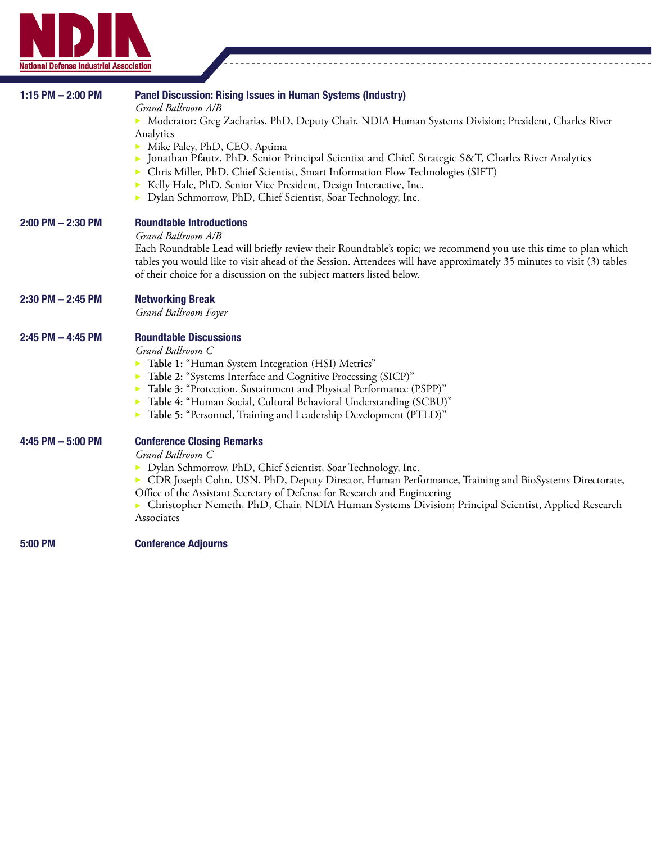

| 1:15 PM $-$ 2:00 PM   | Panel Discussion: Rising Issues in Human Systems (Industry)<br>Grand Ballroom A/B<br>Moderator: Greg Zacharias, PhD, Deputy Chair, NDIA Human Systems Division; President, Charles River<br>Analytics<br>Mike Paley, PhD, CEO, Aptima<br>Jonathan Pfautz, PhD, Senior Principal Scientist and Chief, Strategic S&T, Charles River Analytics<br>Chris Miller, PhD, Chief Scientist, Smart Information Flow Technologies (SIFT)<br>Kelly Hale, PhD, Senior Vice President, Design Interactive, Inc.<br>> Dylan Schmorrow, PhD, Chief Scientist, Soar Technology, Inc. |  |  |  |  |
|-----------------------|---------------------------------------------------------------------------------------------------------------------------------------------------------------------------------------------------------------------------------------------------------------------------------------------------------------------------------------------------------------------------------------------------------------------------------------------------------------------------------------------------------------------------------------------------------------------|--|--|--|--|
| $2:00$ PM $- 2:30$ PM | <b>Roundtable Introductions</b><br>Grand Ballroom A/B<br>Each Roundtable Lead will briefly review their Roundtable's topic; we recommend you use this time to plan which<br>tables you would like to visit ahead of the Session. Attendees will have approximately 35 minutes to visit (3) tables<br>of their choice for a discussion on the subject matters listed below.                                                                                                                                                                                          |  |  |  |  |
| $2:30$ PM $- 2:45$ PM | <b>Networking Break</b><br>Grand Ballroom Foyer                                                                                                                                                                                                                                                                                                                                                                                                                                                                                                                     |  |  |  |  |
| $2:45$ PM $-$ 4:45 PM | <b>Roundtable Discussions</b><br>Grand Ballroom C<br>Table 1: "Human System Integration (HSI) Metrics"<br>▶<br>Table 2: "Systems Interface and Cognitive Processing (SICP)"<br>▶<br>Table 3: "Protection, Sustainment and Physical Performance (PSPP)"<br>▶<br>Table 4: "Human Social, Cultural Behavioral Understanding (SCBU)"<br>Table 5: "Personnel, Training and Leadership Development (PTLD)"                                                                                                                                                                |  |  |  |  |
| 4:45 PM $-$ 5:00 PM   | <b>Conference Closing Remarks</b><br>Grand Ballroom C<br>> Dylan Schmorrow, PhD, Chief Scientist, Soar Technology, Inc.<br>▶ CDR Joseph Cohn, USN, PhD, Deputy Director, Human Performance, Training and BioSystems Directorate,<br>Office of the Assistant Secretary of Defense for Research and Engineering<br>▶ Christopher Nemeth, PhD, Chair, NDIA Human Systems Division; Principal Scientist, Applied Research<br>Associates                                                                                                                                 |  |  |  |  |
| 5:00 PM               | <b>Conference Adjourns</b>                                                                                                                                                                                                                                                                                                                                                                                                                                                                                                                                          |  |  |  |  |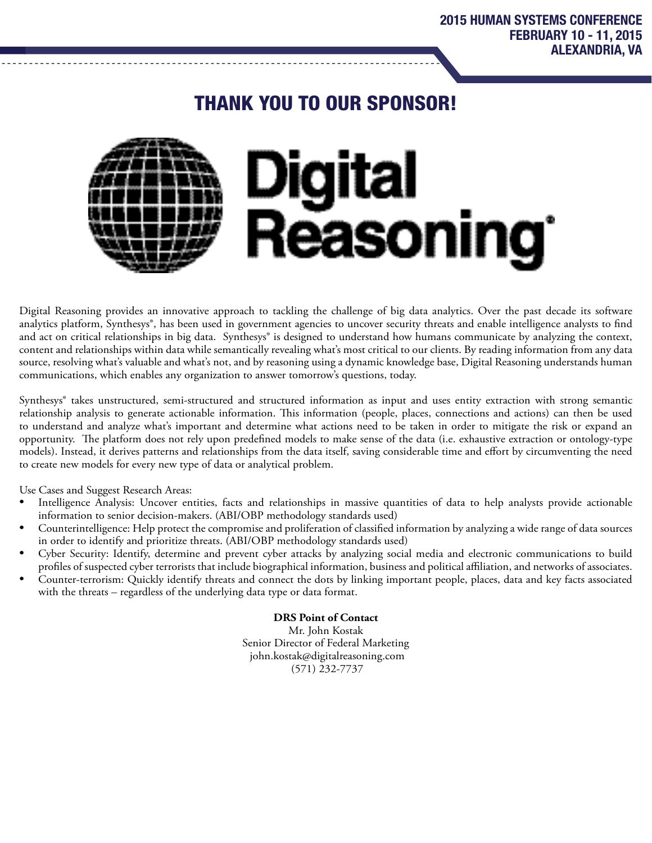# THANK YOU TO OUR SPONSOR!



Digital Reasoning provides an innovative approach to tackling the challenge of big data analytics. Over the past decade its software analytics platform, Synthesys®, has been used in government agencies to uncover security threats and enable intelligence analysts to find and act on critical relationships in big data. Synthesys® is designed to understand how humans communicate by analyzing the context, content and relationships within data while semantically revealing what's most critical to our clients. By reading information from any data source, resolving what's valuable and what's not, and by reasoning using a dynamic knowledge base, Digital Reasoning understands human communications, which enables any organization to answer tomorrow's questions, today.

Synthesys® takes unstructured, semi-structured and structured information as input and uses entity extraction with strong semantic relationship analysis to generate actionable information. This information (people, places, connections and actions) can then be used to understand and analyze what's important and determine what actions need to be taken in order to mitigate the risk or expand an opportunity. The platform does not rely upon predefined models to make sense of the data (i.e. exhaustive extraction or ontology-type models). Instead, it derives patterns and relationships from the data itself, saving considerable time and effort by circumventing the need to create new models for every new type of data or analytical problem.

Use Cases and Suggest Research Areas:

- Intelligence Analysis: Uncover entities, facts and relationships in massive quantities of data to help analysts provide actionable information to senior decision-makers. (ABI/OBP methodology standards used)
- Counterintelligence: Help protect the compromise and proliferation of classified information by analyzing a wide range of data sources in order to identify and prioritize threats. (ABI/OBP methodology standards used)
- Cyber Security: Identify, determine and prevent cyber attacks by analyzing social media and electronic communications to build profiles of suspected cyber terrorists that include biographical information, business and political affiliation, and networks of associates.
- Counter-terrorism: Quickly identify threats and connect the dots by linking important people, places, data and key facts associated with the threats – regardless of the underlying data type or data format.

**DRS Point of Contact** Mr. John Kostak Senior Director of Federal Marketing john.kostak@digitalreasoning.com (571) 232-7737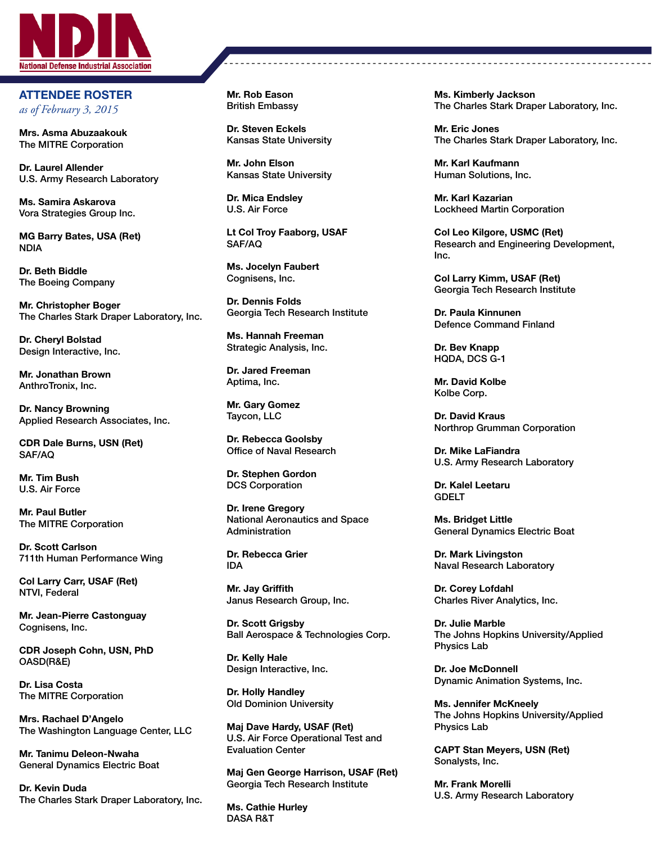

ATTENDEE ROSTER *as of February 3, 2015*

Mrs. Asma Abuzaakouk The MITRE Corporation

Dr. Laurel Allender U.S. Army Research Laboratory

Ms. Samira Askarova Vora Strategies Group Inc.

MG Barry Bates, USA (Ret) NDIA

Dr. Beth Biddle The Boeing Company

Mr. Christopher Boger The Charles Stark Draper Laboratory, Inc.

Dr. Cheryl Bolstad Design Interactive, Inc.

Mr. Jonathan Brown AnthroTronix, Inc.

Dr. Nancy Browning Applied Research Associates, Inc.

CDR Dale Burns, USN (Ret) SAF/AQ

Mr. Tim Bush U.S. Air Force

Mr. Paul Butler The MITRE Corporation

Dr. Scott Carlson 711th Human Performance Wing

Col Larry Carr, USAF (Ret) NTVI, Federal

Mr. Jean-Pierre Castonguay Cognisens, Inc.

CDR Joseph Cohn, USN, PhD OASD(R&E)

Dr. Lisa Costa The MITRE Corporation

Mrs. Rachael D'Angelo The Washington Language Center, LLC

Mr. Tanimu Deleon-Nwaha General Dynamics Electric Boat

Dr. Kevin Duda The Charles Stark Draper Laboratory, Inc. Mr. Rob Eason British Embassy

Dr. Steven Eckels Kansas State University

Mr. John Elson Kansas State University

Dr. Mica Endsley U.S. Air Force

Lt Col Troy Faaborg, USAF SAF/AQ

Ms. Jocelyn Faubert Cognisens, Inc.

Dr. Dennis Folds Georgia Tech Research Institute

Ms. Hannah Freeman Strategic Analysis, Inc.

Dr. Jared Freeman Aptima, Inc.

Mr. Gary Gomez Taycon, LLC

Dr. Rebecca Goolsby Office of Naval Research

Dr. Stephen Gordon DCS Corporation

Dr. Irene Gregory National Aeronautics and Space Administration

Dr. Rebecca Grier IDA

Mr. Jay Griffith Janus Research Group, Inc.

Dr. Scott Grigsby Ball Aerospace & Technologies Corp.

Dr. Kelly Hale Design Interactive, Inc.

Dr. Holly Handley Old Dominion University

Maj Dave Hardy, USAF (Ret) U.S. Air Force Operational Test and Evaluation Center

Maj Gen George Harrison, USAF (Ret) Georgia Tech Research Institute

Ms. Cathie Hurley DASA R&T

Ms. Kimberly Jackson The Charles Stark Draper Laboratory, Inc.

Mr. Eric Jones The Charles Stark Draper Laboratory, Inc.

Mr. Karl Kaufmann Human Solutions, Inc.

Mr. Karl Kazarian Lockheed Martin Corporation

Col Leo Kilgore, USMC (Ret) Research and Engineering Development, Inc.

Col Larry Kimm, USAF (Ret) Georgia Tech Research Institute

Dr. Paula Kinnunen Defence Command Finland

Dr. Bev Knapp HQDA, DCS G-1

Mr. David Kolbe Kolbe Corp.

Dr. David Kraus Northrop Grumman Corporation

Dr. Mike LaFiandra U.S. Army Research Laboratory

Dr. Kalel Leetaru GDELT

Ms. Bridget Little General Dynamics Electric Boat

Dr. Mark Livingston Naval Research Laboratory

Dr. Corey Lofdahl Charles River Analytics, Inc.

Dr. Julie Marble The Johns Hopkins University/Applied Physics Lab

Dr. Joe McDonnell Dynamic Animation Systems, Inc.

Ms. Jennifer McKneely The Johns Hopkins University/Applied Physics Lab

CAPT Stan Meyers, USN (Ret) Sonalysts, Inc.

Mr. Frank Morelli U.S. Army Research Laboratory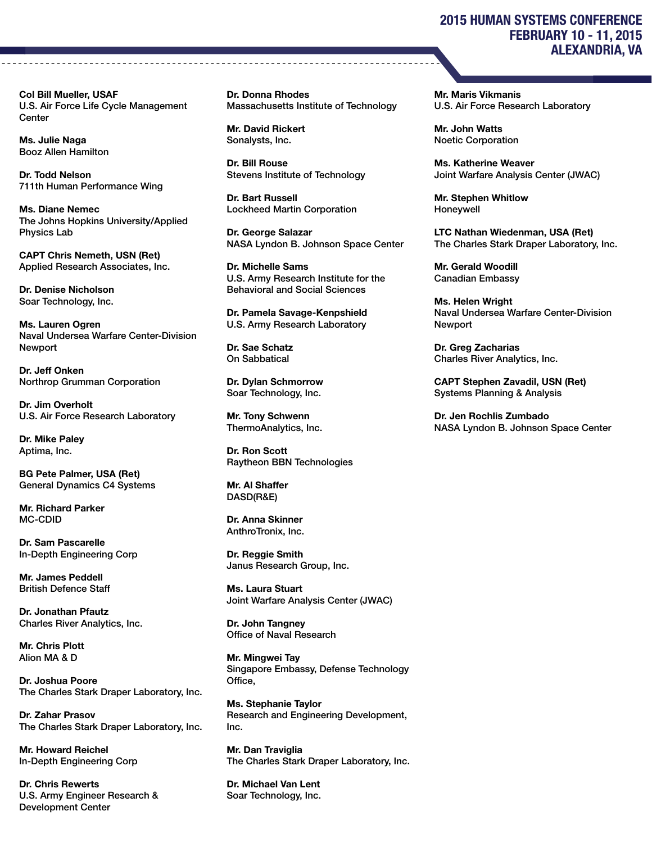#### Col Bill Mueller, USAF U.S. Air Force Life Cycle Management **Center**

Ms. Julie Naga Booz Allen Hamilton

Dr. Todd Nelson 711th Human Performance Wing

Ms. Diane Nemec The Johns Hopkins University/Applied Physics Lab

CAPT Chris Nemeth, USN (Ret) Applied Research Associates, Inc.

Dr. Denise Nicholson Soar Technology, Inc.

Ms. Lauren Ogren Naval Undersea Warfare Center-Division **Newport** 

Dr. Jeff Onken Northrop Grumman Corporation

Dr. Jim Overholt U.S. Air Force Research Laboratory

Dr. Mike Paley Aptima, Inc.

BG Pete Palmer, USA (Ret) General Dynamics C4 Systems

Mr. Richard Parker MC-CDID

Dr. Sam Pascarelle In-Depth Engineering Corp

Mr. James Peddell British Defence Staff

Dr. Jonathan Pfautz Charles River Analytics, Inc.

Mr. Chris Plott Alion MA & D

Dr. Joshua Poore The Charles Stark Draper Laboratory, Inc.

Dr. Zahar Prasov The Charles Stark Draper Laboratory, Inc.

Mr. Howard Reichel In-Depth Engineering Corp

Dr. Chris Rewerts U.S. Army Engineer Research & Development Center

Dr. Donna Rhodes Massachusetts Institute of Technology

Mr. David Rickert Sonalysts, Inc.

Dr. Bill Rouse Stevens Institute of Technology

Dr. Bart Russell Lockheed Martin Corporation

Dr. George Salazar NASA Lyndon B. Johnson Space Center

Dr. Michelle Sams U.S. Army Research Institute for the Behavioral and Social Sciences

Dr. Pamela Savage-Kenpshield U.S. Army Research Laboratory

Dr. Sae Schatz On Sabbatical

Dr. Dylan Schmorrow Soar Technology, Inc.

Mr. Tony Schwenn ThermoAnalytics, Inc.

Dr. Ron Scott Raytheon BBN Technologies

Mr. Al Shaffer DASD(R&E)

Dr. Anna Skinner AnthroTronix, Inc.

Dr. Reggie Smith Janus Research Group, Inc.

Ms. Laura Stuart Joint Warfare Analysis Center (JWAC)

Dr. John Tangney Office of Naval Research

Mr. Mingwei Tay Singapore Embassy, Defense Technology Office,

Ms. Stephanie Taylor Research and Engineering Development, Inc.

Mr. Dan Traviglia The Charles Stark Draper Laboratory, Inc.

Dr. Michael Van Lent Soar Technology, Inc.

## 2015 HUMAN SYSTEMS CONFERENCE FEBRUARY 10 - 11, 2015 ALEXANDRIA, VA

Mr. Maris Vikmanis U.S. Air Force Research Laboratory

Mr. John Watts Noetic Corporation

Ms. Katherine Weaver Joint Warfare Analysis Center (JWAC)

Mr. Stephen Whitlow Honeywell

LTC Nathan Wiedenman, USA (Ret) The Charles Stark Draper Laboratory, Inc.

Mr. Gerald Woodill Canadian Embassy

Ms. Helen Wright Naval Undersea Warfare Center-Division Newport

Dr. Greg Zacharias Charles River Analytics, Inc.

CAPT Stephen Zavadil, USN (Ret) Systems Planning & Analysis

Dr. Jen Rochlis Zumbado NASA Lyndon B. Johnson Space Center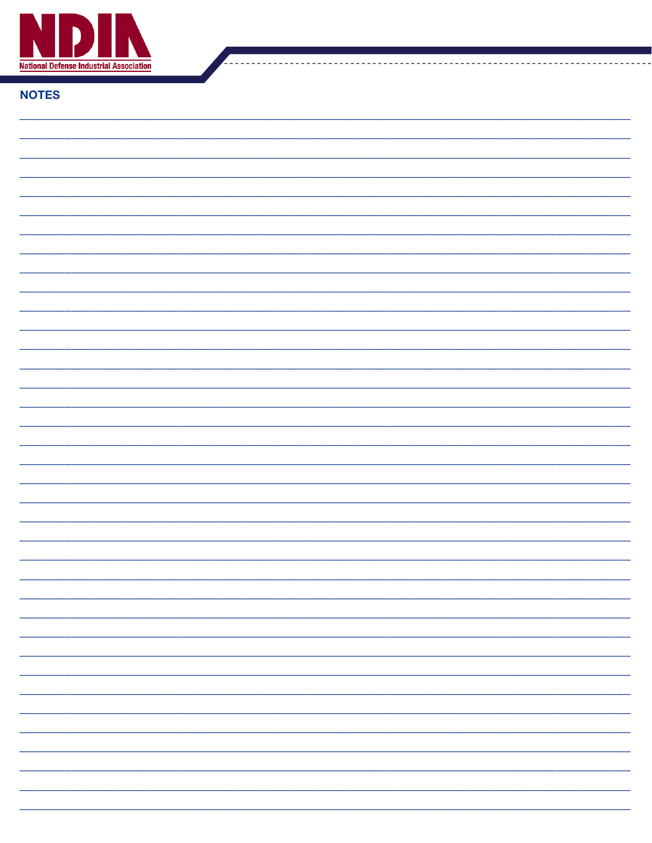

### **NOTES**

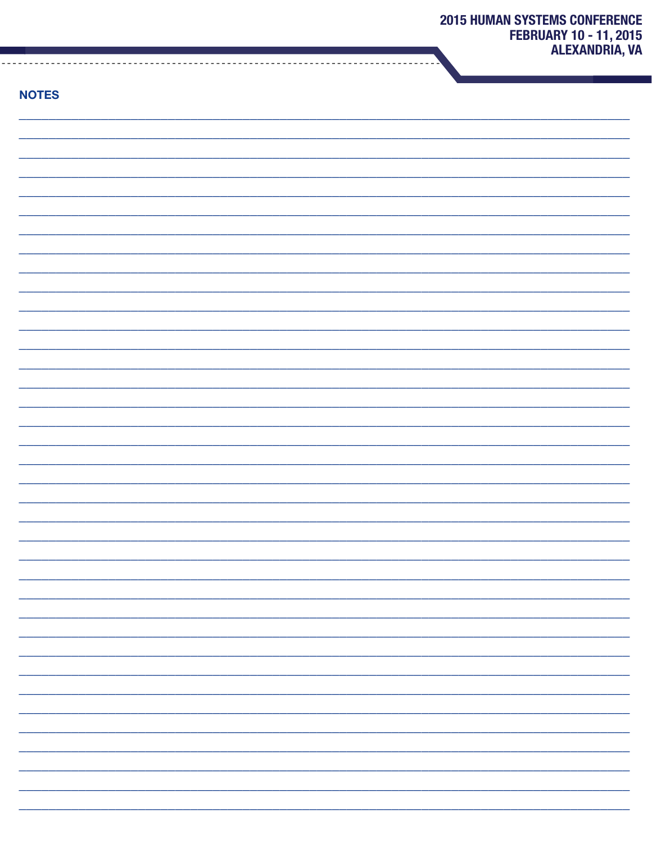| × |  |  |
|---|--|--|
|   |  |  |

| <b>NOTES</b> |    |
|--------------|----|
|              |    |
|              |    |
|              |    |
|              |    |
|              |    |
|              |    |
|              |    |
|              |    |
|              |    |
|              |    |
|              |    |
|              |    |
|              |    |
|              |    |
|              |    |
|              |    |
|              |    |
|              |    |
|              |    |
|              |    |
|              |    |
|              | -  |
|              | -  |
|              |    |
|              |    |
|              | Ξ. |
|              | -  |
|              |    |
|              |    |
|              | -  |
|              | -  |
|              | -  |
|              | Ξ. |